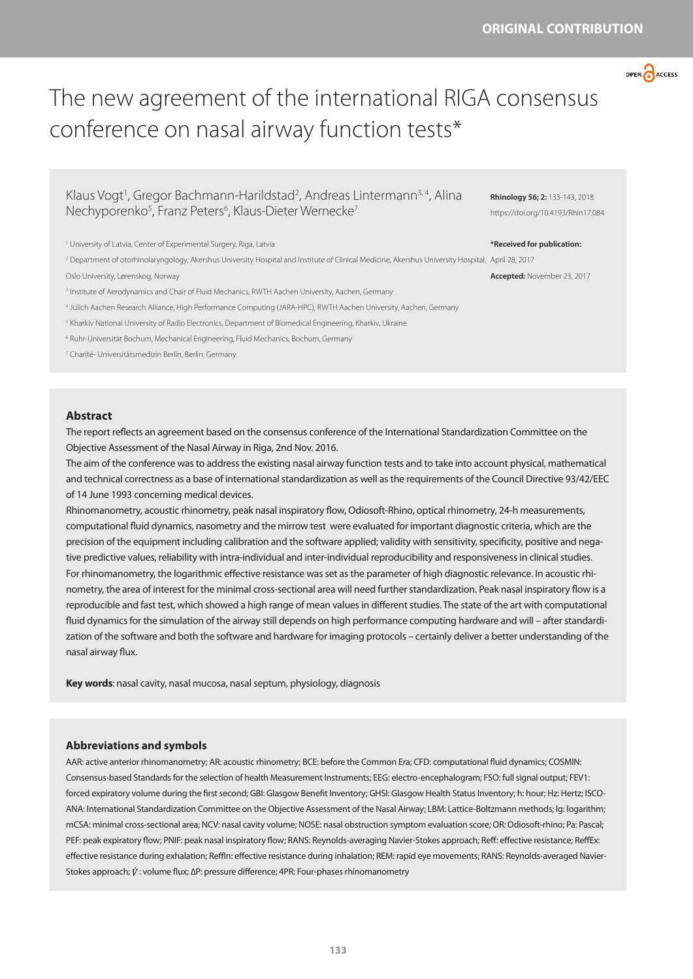

# The new agreement of the international RIGA consensus conference on nasal airway function tests\*

Klaus Vogt<sup>1</sup>, Gregor Bachmann-Harildstad<sup>2</sup>, Andreas Lintermann<sup>3,4</sup>, Alina Nechyporenko<sup>5</sup>, Franz Peters<sup>6</sup>, Klaus-Dieter Wernecke<sup>7</sup>

<sup>1</sup> University of Latvia, Center of Experimental Surgery, Riga, Latvia

2 Department of otorhinolaryngology, Akershus University Hospital and Institute of Clinical Medicine, Akershus University Hospital, April 28, 2017 Oslo University, Lørenskog, Norway

3 Institute of Aerodynamics and Chair of Fluid Mechanics, RWTH Aachen University, Aachen, Germany

4 Jülich Aachen Research Alliance, High Performance Computing (JARA-HPC), RWTH Aachen University, Aachen, Germany

5 Kharkiv National University of Radio Electronics, Department of Biomedical Engineering, Kharkiv, Ukraine

6 Ruhr-Universität Bochum, Mechanical Engineering, Fluid Mechanics, Bochum, Germany

7 Charité- Universitätsmedizin Berlin, Berlin, Germany

**Rhinology 56; 2:** 133-143, 2018 https://doi.org/10.4193/Rhin17.084

**\*Received for publication:**

**Accepted:** November 23, 2017

## **Abstract**

The report reflects an agreement based on the consensus conference of the International Standardization Committee on the Objective Assessment of the Nasal Airway in Riga, 2nd Nov. 2016.

The aim of the conference was to address the existing nasal airway function tests and to take into account physical, mathematical and technical correctness as a base of international standardization as well as the requirements of the Council Directive 93/42/EEC of 14 June 1993 concerning medical devices.

Rhinomanometry, acoustic rhinometry, peak nasal inspiratory flow, Odiosoft-Rhino, optical rhinometry, 24-h measurements, computational fluid dynamics, nasometry and the mirrow test were evaluated for important diagnostic criteria, which are the precision of the equipment including calibration and the software applied; validity with sensitivity, specificity, positive and negative predictive values, reliability with intra-individual and inter-individual reproducibility and responsiveness in clinical studies. For rhinomanometry, the logarithmic effective resistance was set as the parameter of high diagnostic relevance. In acoustic rhinometry, the area of interest for the minimal cross-sectional area will need further standardization. Peak nasal inspiratory flow is a reproducible and fast test, which showed a high range of mean values in different studies. The state of the art with computational fluid dynamics for the simulation of the airway still depends on high performance computing hardware and will – after standardization of the software and both the software and hardware for imaging protocols – certainly deliver a better understanding of the nasal airway flux.

**Key words**: nasal cavity, nasal mucosa, nasal septum, physiology, diagnosis

#### **Abbreviations and symbols**

AAR: active anterior rhinomanometry; AR: acoustic rhinometry; BCE: before the Common Era; CFD: computational fluid dynamics; COSMIN: Consensus-based Standards for the selection of health Measurement Instruments; EEG: electro-encephalogram; FSO: full signal output; FEV1: forced expiratory volume during the first second; GBI: Glasgow Benefit Inventory; GHSI: Glasgow Health Status Inventory; h: hour; Hz: Hertz; ISCO-ANA: International Standardization Committee on the Objective Assessment of the Nasal Airway; LBM: Lattice-Boltzmann methods; lg: logarithm; mCSA: minimal cross-sectional area; NCV: nasal cavity volume; NOSE: nasal obstruction symptom evaluation score; OR: Odiosoft-rhino; Pa: Pascal; PEF: peak expiratory flow; PNIF: peak nasal inspiratory flow; RANS: Reynolds-averaging Navier-Stokes approach; Reff: effective resistance; ReffEx: effective resistance during exhalation; ReffIn: effective resistance during inhalation; REM: rapid eye movements; RANS: Reynolds-averaged Navier-Stokes approach;  $\dot{V}$ : volume flux; ∆P: pressure difference; 4PR: Four-phases rhinomanometry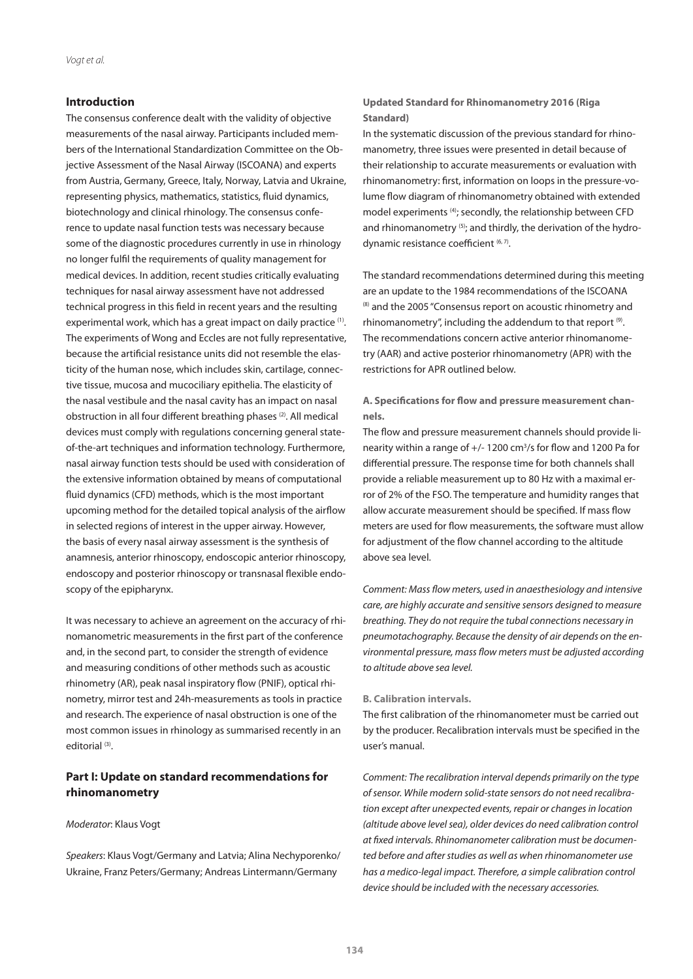## **Introduction**

The consensus conference dealt with the validity of objective measurements of the nasal airway. Participants included members of the International Standardization Committee on the Objective Assessment of the Nasal Airway (ISCOANA) and experts from Austria, Germany, Greece, Italy, Norway, Latvia and Ukraine, representing physics, mathematics, statistics, fluid dynamics, biotechnology and clinical rhinology. The consensus conference to update nasal function tests was necessary because some of the diagnostic procedures currently in use in rhinology no longer fulfil the requirements of quality management for medical devices. In addition, recent studies critically evaluating techniques for nasal airway assessment have not addressed technical progress in this field in recent years and the resulting experimental work, which has a great impact on daily practice <sup>(1)</sup>. The experiments of Wong and Eccles are not fully representative, because the artificial resistance units did not resemble the elasticity of the human nose, which includes skin, cartilage, connective tissue, mucosa and mucociliary epithelia. The elasticity of the nasal vestibule and the nasal cavity has an impact on nasal obstruction in all four different breathing phases (2). All medical devices must comply with regulations concerning general stateof-the-art techniques and information technology. Furthermore, nasal airway function tests should be used with consideration of the extensive information obtained by means of computational fluid dynamics (CFD) methods, which is the most important upcoming method for the detailed topical analysis of the airflow in selected regions of interest in the upper airway. However, the basis of every nasal airway assessment is the synthesis of anamnesis, anterior rhinoscopy, endoscopic anterior rhinoscopy, endoscopy and posterior rhinoscopy or transnasal flexible endoscopy of the epipharynx.

It was necessary to achieve an agreement on the accuracy of rhinomanometric measurements in the first part of the conference and, in the second part, to consider the strength of evidence and measuring conditions of other methods such as acoustic rhinometry (AR), peak nasal inspiratory flow (PNIF), optical rhinometry, mirror test and 24h-measurements as tools in practice and research. The experience of nasal obstruction is one of the most common issues in rhinology as summarised recently in an editorial (3).

# **Part I: Update on standard recommendations for rhinomanometry**

## *Moderator*: Klaus Vogt

*Speakers*: Klaus Vogt/Germany and Latvia; Alina Nechyporenko/ Ukraine, Franz Peters/Germany; Andreas Lintermann/Germany

## **Updated Standard for Rhinomanometry 2016 (Riga Standard)**

In the systematic discussion of the previous standard for rhinomanometry, three issues were presented in detail because of their relationship to accurate measurements or evaluation with rhinomanometry: first, information on loops in the pressure-volume flow diagram of rhinomanometry obtained with extended model experiments (4); secondly, the relationship between CFD and rhinomanometry <sup>(5)</sup>; and thirdly, the derivation of the hydrodynamic resistance coefficient (6, 7).

The standard recommendations determined during this meeting are an update to the 1984 recommendations of the ISCOANA (8) and the 2005 "Consensus report on acoustic rhinometry and rhinomanometry", including the addendum to that report <sup>(9)</sup>. The recommendations concern active anterior rhinomanometry (AAR) and active posterior rhinomanometry (APR) with the restrictions for APR outlined below.

# **A. Specifications for flow and pressure measurement channels.**

The flow and pressure measurement channels should provide linearity within a range of +/-1200 cm<sup>3</sup>/s for flow and 1200 Pa for differential pressure. The response time for both channels shall provide a reliable measurement up to 80 Hz with a maximal error of 2% of the FSO. The temperature and humidity ranges that allow accurate measurement should be specified. If mass flow meters are used for flow measurements, the software must allow for adjustment of the flow channel according to the altitude above sea level.

*Comment: Mass flow meters, used in anaesthesiology and intensive care, are highly accurate and sensitive sensors designed to measure breathing. They do not require the tubal connections necessary in pneumotachography. Because the density of air depends on the environmental pressure, mass flow meters must be adjusted according to altitude above sea level.*

## **B. Calibration intervals.**

The first calibration of the rhinomanometer must be carried out by the producer. Recalibration intervals must be specified in the user's manual.

*Comment: The recalibration interval depends primarily on the type of sensor. While modern solid-state sensors do not need recalibration except after unexpected events, repair or changes in location (altitude above level sea), older devices do need calibration control at fixed intervals. Rhinomanometer calibration must be documented before and after studies as well as when rhinomanometer use has a medico-legal impact. Therefore, a simple calibration control device should be included with the necessary accessories.*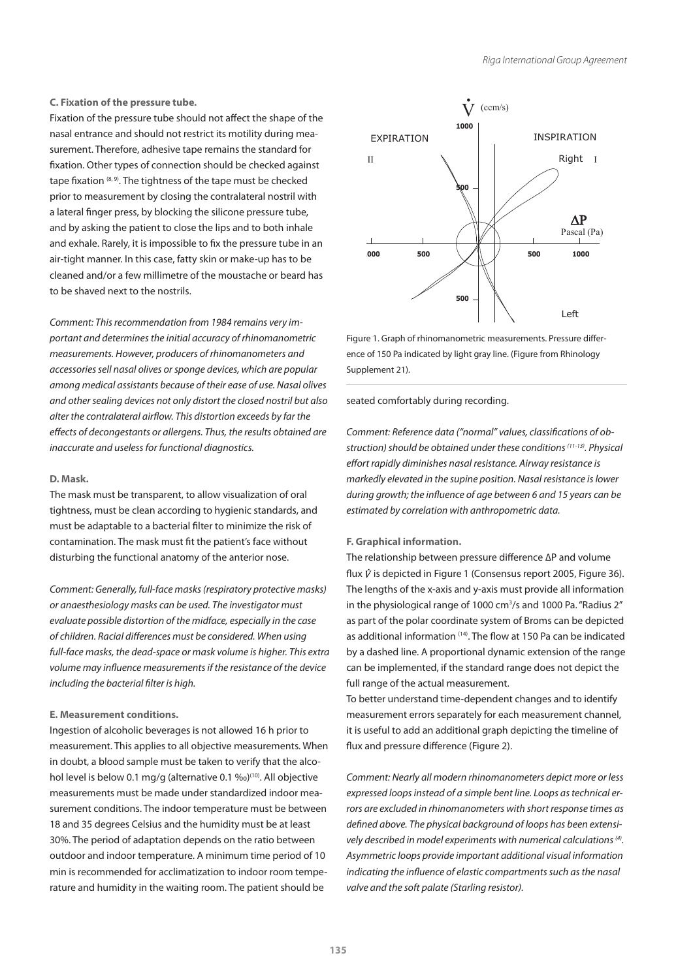## **C. Fixation of the pressure tube.**

Fixation of the pressure tube should not affect the shape of the nasal entrance and should not restrict its motility during measurement. Therefore, adhesive tape remains the standard for fixation. Other types of connection should be checked against tape fixation (8, 9). The tightness of the tape must be checked prior to measurement by closing the contralateral nostril with a lateral finger press, by blocking the silicone pressure tube, and by asking the patient to close the lips and to both inhale and exhale. Rarely, it is impossible to fix the pressure tube in an air-tight manner. In this case, fatty skin or make-up has to be cleaned and/or a few millimetre of the moustache or beard has to be shaved next to the nostrils.

*Comment: This recommendation from 1984 remains very important and determines the initial accuracy of rhinomanometric measurements. However, producers of rhinomanometers and accessories sell nasal olives or sponge devices, which are popular among medical assistants because of their ease of use. Nasal olives and other sealing devices not only distort the closed nostril but also alter the contralateral airflow. This distortion exceeds by far the effects of decongestants or allergens. Thus, the results obtained are inaccurate and useless for functional diagnostics.*

#### **D. Mask.**

The mask must be transparent, to allow visualization of oral tightness, must be clean according to hygienic standards, and must be adaptable to a bacterial filter to minimize the risk of contamination. The mask must fit the patient's face without disturbing the functional anatomy of the anterior nose.

*Comment: Generally, full-face masks (respiratory protective masks) or anaesthesiology masks can be used. The investigator must evaluate possible distortion of the midface, especially in the case of children. Racial differences must be considered. When using full-face masks, the dead-space or mask volume is higher. This extra volume may influence measurements if the resistance of the device including the bacterial filter is high.*

#### **E. Measurement conditions.**

Ingestion of alcoholic beverages is not allowed 16 h prior to measurement. This applies to all objective measurements. When in doubt, a blood sample must be taken to verify that the alcohol level is below 0.1 mg/g (alternative 0.1 ‰)<sup>(10)</sup>. All objective measurements must be made under standardized indoor measurement conditions. The indoor temperature must be between 18 and 35 degrees Celsius and the humidity must be at least 30%. The period of adaptation depends on the ratio between outdoor and indoor temperature. A minimum time period of 10 min is recommended for acclimatization to indoor room temperature and humidity in the waiting room. The patient should be



Figure 1. Graph of rhinomanometric measurements. Pressure difference of 150 Pa indicated by light gray line. (Figure from Rhinology Supplement 21).

## seated comfortably during recording.

*Comment: Reference data ("normal" values, classifications of obstruction) should be obtained under these conditions (11-13). Physical effort rapidly diminishes nasal resistance. Airway resistance is markedly elevated in the supine position. Nasal resistance is lower during growth; the influence of age between 6 and 15 years can be estimated by correlation with anthropometric data.*

#### **F. Graphical information.**

The relationship between pressure difference ∆P and volume flux  $\dot{V}$  is depicted in Figure 1 (Consensus report 2005, Figure 36). The lengths of the x-axis and y-axis must provide all information in the physiological range of 1000 cm<sup>3</sup>/s and 1000 Pa. "Radius 2" as part of the polar coordinate system of Broms can be depicted as additional information (14). The flow at 150 Pa can be indicated by a dashed line. A proportional dynamic extension of the range can be implemented, if the standard range does not depict the full range of the actual measurement.

To better understand time-dependent changes and to identify measurement errors separately for each measurement channel, it is useful to add an additional graph depicting the timeline of flux and pressure difference (Figure 2).

*Comment: Nearly all modern rhinomanometers depict more or less expressed loops instead of a simple bent line. Loops as technical errors are excluded in rhinomanometers with short response times as defined above. The physical background of loops has been extensively described in model experiments with numerical calculations (4). Asymmetric loops provide important additional visual information indicating the influence of elastic compartments such as the nasal valve and the soft palate (Starling resistor).*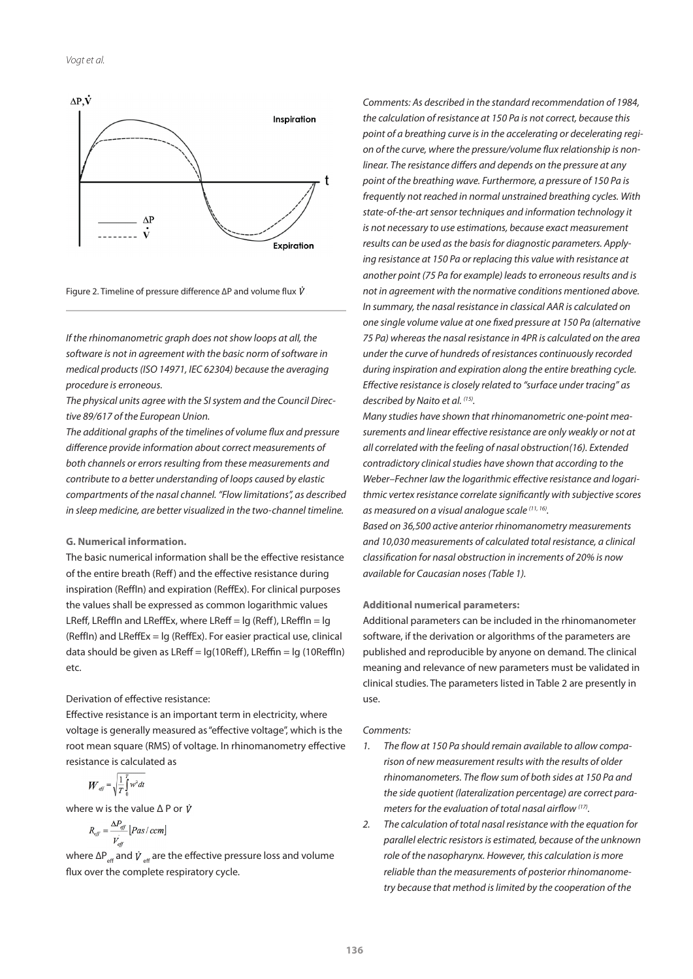

Figure 2. Timeline of pressure difference  $\Delta P$  and volume flux  $\dot{V}$ 

*If the rhinomanometric graph does not show loops at all, the software is not in agreement with the basic norm of software in medical products (ISO 14971, IEC 62304) because the averaging procedure is erroneous.*

*The physical units agree with the SI system and the Council Directive 89/617 of the European Union.*

*The additional graphs of the timelines of volume flux and pressure difference provide information about correct measurements of both channels or errors resulting from these measurements and contribute to a better understanding of loops caused by elastic compartments of the nasal channel. "Flow limitations", as described in sleep medicine, are better visualized in the two-channel timeline.*

## **G. Numerical information.**

The basic numerical information shall be the effective resistance of the entire breath (Reff) and the effective resistance during inspiration (ReffIn) and expiration (ReffEx). For clinical purposes the values shall be expressed as common logarithmic values LReff, LReffIn and LReffEx, where LReff =  $Iq$  (Reff), LReffIn =  $Iq$ (ReffIn) and LReffEx = lg (ReffEx). For easier practical use, clinical data should be given as  $LReff = lg(10Reff)$ ,  $LReffin = lg(10Reffin)$ etc.

## Derivation of effective resistance:

Effective resistance is an important term in electricity, where voltage is generally measured as "effective voltage", which is the root mean square (RMS) of voltage. In rhinomanometry effective resistance is calculated as

$$
W_{\text{eff}} = \sqrt{\frac{1}{T}} \int_{0}^{T} w^2 dt
$$

where w is the value  $\Delta P$  or  $\dot{V}$ 

 $R_{\text{eff}} = \frac{\Delta P_{\text{eff}}}{V_{\text{eff}}} [Pas / ccm]$ 

where  $\Delta P_{\text{eff}}$  and  $\dot{V}_{\text{eff}}$  are the effective pressure loss and volume flux over the complete respiratory cycle.

*Comments: As described in the standard recommendation of 1984, the calculation of resistance at 150 Pa is not correct, because this point of a breathing curve is in the accelerating or decelerating region of the curve, where the pressure/volume flux relationship is nonlinear. The resistance differs and depends on the pressure at any point of the breathing wave. Furthermore, a pressure of 150 Pa is frequently not reached in normal unstrained breathing cycles. With state-of-the-art sensor techniques and information technology it is not necessary to use estimations, because exact measurement results can be used as the basis for diagnostic parameters. Applying resistance at 150 Pa or replacing this value with resistance at another point (75 Pa for example) leads to erroneous results and is not in agreement with the normative conditions mentioned above. In summary, the nasal resistance in classical AAR is calculated on one single volume value at one fixed pressure at 150 Pa (alternative 75 Pa) whereas the nasal resistance in 4PR is calculated on the area under the curve of hundreds of resistances continuously recorded during inspiration and expiration along the entire breathing cycle. Effective resistance is closely related to "surface under tracing" as described by Naito et al. (15).*

*Many studies have shown that rhinomanometric one-point measurements and linear effective resistance are only weakly or not at all correlated with the feeling of nasal obstruction(16). Extended contradictory clinical studies have shown that according to the Weber–Fechner law the logarithmic effective resistance and logarithmic vertex resistance correlate significantly with subjective scores as measured on a visual analogue scale (11, 16).*

*Based on 36,500 active anterior rhinomanometry measurements and 10,030 measurements of calculated total resistance, a clinical classification for nasal obstruction in increments of 20% is now available for Caucasian noses (Table 1).*

## **Additional numerical parameters:**

Additional parameters can be included in the rhinomanometer software, if the derivation or algorithms of the parameters are published and reproducible by anyone on demand. The clinical meaning and relevance of new parameters must be validated in clinical studies. The parameters listed in Table 2 are presently in use.

## *Comments:*

- *1. The flow at 150 Pa should remain available to allow comparison of new measurement results with the results of older rhinomanometers. The flow sum of both sides at 150 Pa and the side quotient (lateralization percentage) are correct parameters for the evaluation of total nasal airflow (17).*
- *2. The calculation of total nasal resistance with the equation for parallel electric resistors is estimated, because of the unknown role of the nasopharynx. However, this calculation is more reliable than the measurements of posterior rhinomanometry because that method is limited by the cooperation of the*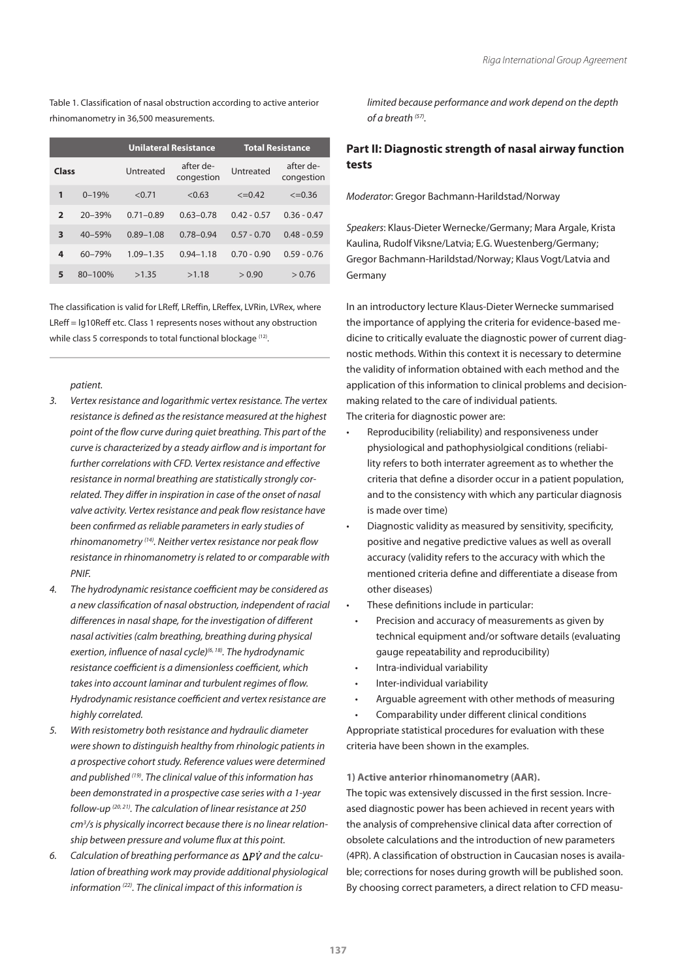Table 1. Classification of nasal obstruction according to active anterior rhinomanometry in 36,500 measurements.

|                          |            | <b>Unilateral Resistance</b> |                         | <b>Total Resistance</b> |                         |
|--------------------------|------------|------------------------------|-------------------------|-------------------------|-------------------------|
| Class                    |            | Untreated                    | after de-<br>congestion | Untreated               | after de-<br>congestion |
| 1                        | $0 - 19%$  | < 0.71                       | < 0.63                  | $\leq 0.42$             | $\leq$ =0.36            |
| $\overline{\phantom{a}}$ | $20 - 39%$ | $0.71 - 0.89$                | $0.63 - 0.78$           | $0.42 - 0.57$           | $0.36 - 0.47$           |
| 3                        | 40-59%     | $0.89 - 1.08$                | $0.78 - 0.94$           | $0.57 - 0.70$           | $0.48 - 0.59$           |
| 4                        | 60-79%     | $1.09 - 1.35$                | $0.94 - 1.18$           | $0.70 - 0.90$           | $0.59 - 0.76$           |
|                          | 80-100%    | >1.35                        | >1.18                   | > 0.90                  | > 0.76                  |

The classification is valid for LReff, LReffin, LReffex, LVRin, LVRex, where LReff = lg10Reff etc. Class 1 represents noses without any obstruction while class 5 corresponds to total functional blockage (12).

#### *patient.*

- *3. Vertex resistance and logarithmic vertex resistance. The vertex resistance is defined as the resistance measured at the highest point of the flow curve during quiet breathing. This part of the curve is characterized by a steady airflow and is important for further correlations with CFD. Vertex resistance and effective resistance in normal breathing are statistically strongly correlated. They differ in inspiration in case of the onset of nasal valve activity. Vertex resistance and peak flow resistance have been confirmed as reliable parameters in early studies of rhinomanometry (14). Neither vertex resistance nor peak flow resistance in rhinomanometry is related to or comparable with PNIF.*
- *4. The hydrodynamic resistance coefficient may be considered as a new classification of nasal obstruction, independent of racial differences in nasal shape, for the investigation of different nasal activities (calm breathing, breathing during physical exertion, influence of nasal cycle)(6, 18). The hydrodynamic resistance coefficient is a dimensionless coefficient, which takes into account laminar and turbulent regimes of flow. Hydrodynamic resistance coefficient and vertex resistance are highly correlated.*
- *5. With resistometry both resistance and hydraulic diameter were shown to distinguish healthy from rhinologic patients in a prospective cohort study. Reference values were determined and published (19). The clinical value of this information has been demonstrated in a prospective case series with a 1-year follow-up (20, 21). The calculation of linear resistance at 250 cm3 /s is physically incorrect because there is no linear relationship between pressure and volume flux at this point.*
- 6. Calculation of breathing performance as  $\Delta P\dot{V}$  and the calcu*lation of breathing work may provide additional physiological information (22). The clinical impact of this information is*

*limited because performance and work depend on the depth of a breath (57).*

# **Part II: Diagnostic strength of nasal airway function tests**

*Moderator*: Gregor Bachmann-Harildstad/Norway

*Speakers*: Klaus-Dieter Wernecke/Germany; Mara Argale, Krista Kaulina, Rudolf Viksne/Latvia; E.G. Wuestenberg/Germany; Gregor Bachmann-Harildstad/Norway; Klaus Vogt/Latvia and Germany

In an introductory lecture Klaus-Dieter Wernecke summarised the importance of applying the criteria for evidence-based medicine to critically evaluate the diagnostic power of current diagnostic methods. Within this context it is necessary to determine the validity of information obtained with each method and the application of this information to clinical problems and decisionmaking related to the care of individual patients.

The criteria for diagnostic power are:

- Reproducibility (reliability) and responsiveness under physiological and pathophysiolgical conditions (reliability refers to both interrater agreement as to whether the criteria that define a disorder occur in a patient population, and to the consistency with which any particular diagnosis is made over time)
- Diagnostic validity as measured by sensitivity, specificity, positive and negative predictive values as well as overall accuracy (validity refers to the accuracy with which the mentioned criteria define and differentiate a disease from other diseases)
- These definitions include in particular:
- Precision and accuracy of measurements as given by technical equipment and/or software details (evaluating gauge repeatability and reproducibility)
- Intra-individual variability
- Inter-individual variability
- Arguable agreement with other methods of measuring • Comparability under different clinical conditions

Appropriate statistical procedures for evaluation with these criteria have been shown in the examples.

**1) Active anterior rhinomanometry (AAR).** 

The topic was extensively discussed in the first session. Increased diagnostic power has been achieved in recent years with the analysis of comprehensive clinical data after correction of obsolete calculations and the introduction of new parameters (4PR). A classification of obstruction in Caucasian noses is available; corrections for noses during growth will be published soon. By choosing correct parameters, a direct relation to CFD measu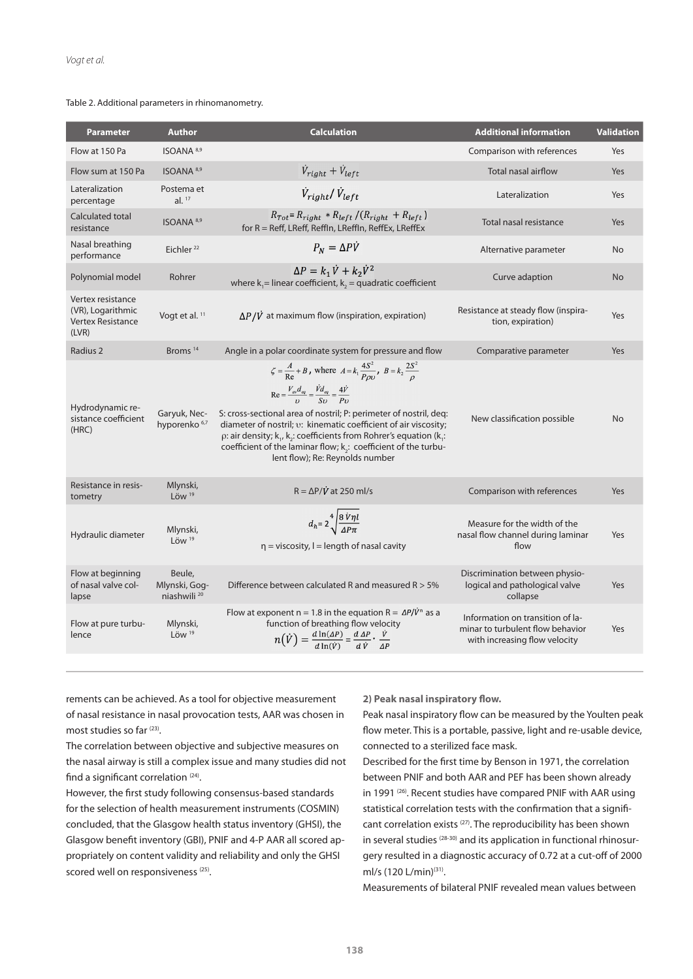Table 2. Additional parameters in rhinomanometry.

| <b>Parameter</b>                                                            | <b>Author</b>                                      | <b>Calculation</b>                                                                                                                                                                                                                                                                                                                                                                                                                                                                                                                                    | <b>Additional information</b>                                                                         | <b>Validation</b> |
|-----------------------------------------------------------------------------|----------------------------------------------------|-------------------------------------------------------------------------------------------------------------------------------------------------------------------------------------------------------------------------------------------------------------------------------------------------------------------------------------------------------------------------------------------------------------------------------------------------------------------------------------------------------------------------------------------------------|-------------------------------------------------------------------------------------------------------|-------------------|
| Flow at 150 Pa                                                              | ISOANA <sup>8,9</sup>                              |                                                                                                                                                                                                                                                                                                                                                                                                                                                                                                                                                       | Comparison with references                                                                            | Yes               |
| Flow sum at 150 Pa                                                          | ISOANA <sup>8,9</sup>                              | $\dot{V}_{riaht} + \dot{V}_{left}$                                                                                                                                                                                                                                                                                                                                                                                                                                                                                                                    | Total nasal airflow                                                                                   | Yes               |
| Lateralization<br>percentage                                                | Postema et<br>$al.$ <sup>17</sup>                  | $\dot{V}_{right}/\dot{V}_{left}$                                                                                                                                                                                                                                                                                                                                                                                                                                                                                                                      | Lateralization                                                                                        | Yes               |
| Calculated total<br>resistance                                              | ISOANA <sup>8,9</sup>                              | $R_{Tot} = R_{right} * R_{left} / (R_{right} + R_{left})$<br>for $R = Ref$ , LReff, Reffln, LReffln, ReffEx, LReffEx                                                                                                                                                                                                                                                                                                                                                                                                                                  | Total nasal resistance                                                                                | Yes               |
| Nasal breathing<br>performance                                              | Eichler <sup>22</sup>                              | $P_N = \Delta P \dot{V}$                                                                                                                                                                                                                                                                                                                                                                                                                                                                                                                              | Alternative parameter                                                                                 | No                |
| Polynomial model                                                            | Rohrer                                             | $\Delta P = k_1 \dot{V} + k_2 \dot{V}^2$<br>where $k_1$ = linear coefficient, $k_2$ = quadratic coefficient                                                                                                                                                                                                                                                                                                                                                                                                                                           | Curve adaption                                                                                        | No                |
| Vertex resistance<br>(VR), Logarithmic<br><b>Vertex Resistance</b><br>(LVR) | Vogt et al. 11                                     | $\Delta P/\dot{V}$ at maximum flow (inspiration, expiration)                                                                                                                                                                                                                                                                                                                                                                                                                                                                                          | Resistance at steady flow (inspira-<br>tion, expiration)                                              | Yes               |
| Radius 2                                                                    | Broms <sup>14</sup>                                | Angle in a polar coordinate system for pressure and flow                                                                                                                                                                                                                                                                                                                                                                                                                                                                                              | Comparative parameter                                                                                 | Yes               |
| Hydrodynamic re-<br>sistance coefficient<br>(HRC)                           | Garyuk, Nec-<br>hyporenko <sup>6,7</sup>           | $\zeta = \frac{A}{Re} + B$ , where $A = k_1 \frac{4S^2}{P_{01}}$ , $B = k_2 \frac{2S^2}{Q}$<br>$\text{Re} = \frac{V_{av}d_{eq}}{D} = \frac{Vd_{eq}}{S_D} = \frac{4V}{P_D}$<br>S: cross-sectional area of nostril; P: perimeter of nostril, deg:<br>diameter of nostril; v: kinematic coefficient of air viscosity;<br>$\rho$ : air density; k <sub>1</sub> , k <sub>2</sub> : coefficients from Rohrer's equation (k <sub>1</sub> :<br>coefficient of the laminar flow; k <sub>2</sub> : coefficient of the turbu-<br>lent flow); Re: Reynolds number | New classification possible                                                                           | No                |
| Resistance in resis-<br>tometry                                             | Mlynski,<br>Löw <sup>19</sup>                      | $R = \Delta P/\dot{V}$ at 250 ml/s                                                                                                                                                                                                                                                                                                                                                                                                                                                                                                                    | Comparison with references                                                                            | Yes               |
| Hydraulic diameter                                                          | Mlynski,<br>$L\ddot{\text{o}}$ w <sup>19</sup>     | $d_h = 2 \sqrt[4]{\frac{8 \dot{V} \eta l}{\Delta P \pi}}$<br>$\eta$ = viscosity, l = length of nasal cavity                                                                                                                                                                                                                                                                                                                                                                                                                                           | Measure for the width of the<br>nasal flow channel during laminar<br>flow                             | Yes               |
| Flow at beginning<br>of nasal valve col-<br>lapse                           | Beule,<br>Mlynski, Gog-<br>niashwili <sup>20</sup> | Difference between calculated R and measured $R > 5%$                                                                                                                                                                                                                                                                                                                                                                                                                                                                                                 | Discrimination between physio-<br>logical and pathological valve<br>collapse                          | Yes               |
| Flow at pure turbu-<br>lence                                                | Mlynski,<br>$L\ddot{\text{o}}$ w <sup>19</sup>     | Flow at exponent $n = 1.8$ in the equation $R = \Delta P/V^n$ as a<br>function of breathing flow velocity<br>$n(\dot{V}) = \frac{d \ln(\Delta P)}{d \ln(\dot{V})} = \frac{d \Delta P}{d \dot{V}} \cdot \frac{\dot{V}}{dP}$                                                                                                                                                                                                                                                                                                                            | Information on transition of la-<br>minar to turbulent flow behavior<br>with increasing flow velocity | Yes               |

rements can be achieved. As a tool for objective measurement of nasal resistance in nasal provocation tests, AAR was chosen in most studies so far (23).

The correlation between objective and subjective measures on the nasal airway is still a complex issue and many studies did not find a significant correlation (24).

However, the first study following consensus-based standards for the selection of health measurement instruments (COSMIN) concluded, that the Glasgow health status inventory (GHSI), the Glasgow benefit inventory (GBI), PNIF and 4-P AAR all scored appropriately on content validity and reliability and only the GHSI scored well on responsiveness<sup>(25)</sup>.

**2) Peak nasal inspiratory flow.**

Peak nasal inspiratory flow can be measured by the Youlten peak flow meter. This is a portable, passive, light and re-usable device, connected to a sterilized face mask.

Described for the first time by Benson in 1971, the correlation between PNIF and both AAR and PEF has been shown already in 1991<sup>(26)</sup>. Recent studies have compared PNIF with AAR using statistical correlation tests with the confirmation that a significant correlation exists (27). The reproducibility has been shown in several studies (28-30) and its application in functional rhinosurgery resulted in a diagnostic accuracy of 0.72 at a cut-off of 2000 ml/s (120 L/min)<sup>(31)</sup>.

Measurements of bilateral PNIF revealed mean values between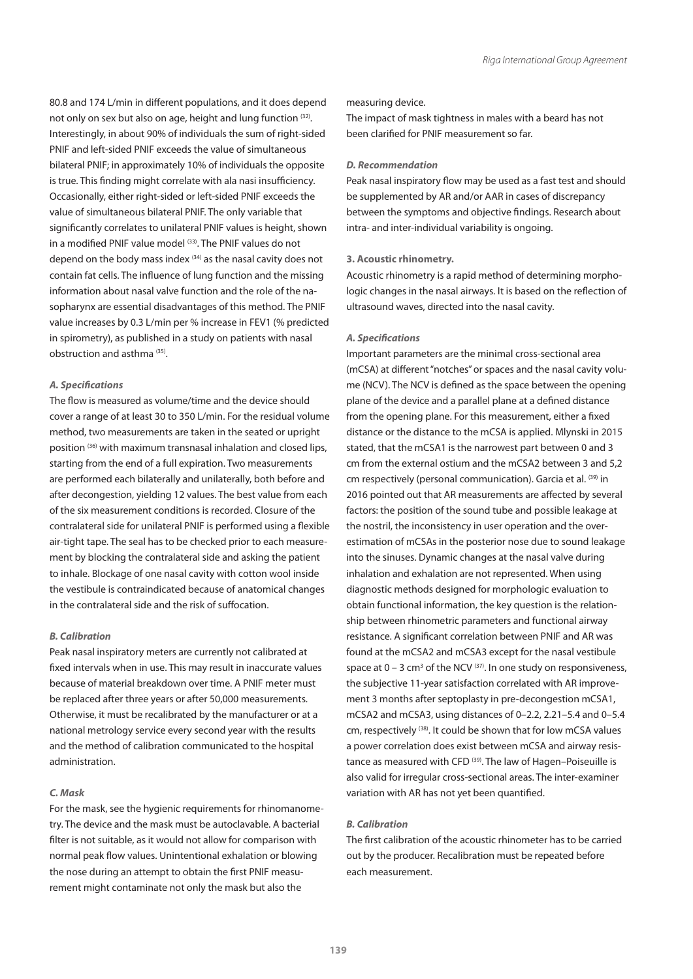80.8 and 174 L/min in different populations, and it does depend not only on sex but also on age, height and lung function (32). Interestingly, in about 90% of individuals the sum of right-sided PNIF and left-sided PNIF exceeds the value of simultaneous bilateral PNIF; in approximately 10% of individuals the opposite is true. This finding might correlate with ala nasi insufficiency. Occasionally, either right-sided or left-sided PNIF exceeds the value of simultaneous bilateral PNIF. The only variable that significantly correlates to unilateral PNIF values is height, shown in a modified PNIF value model (33). The PNIF values do not depend on the body mass index (34) as the nasal cavity does not contain fat cells. The influence of lung function and the missing information about nasal valve function and the role of the nasopharynx are essential disadvantages of this method. The PNIF value increases by 0.3 L/min per % increase in FEV1 (% predicted in spirometry), as published in a study on patients with nasal obstruction and asthma (35).

## *A. Specifications*

The flow is measured as volume/time and the device should cover a range of at least 30 to 350 L/min. For the residual volume method, two measurements are taken in the seated or upright position (36) with maximum transnasal inhalation and closed lips, starting from the end of a full expiration. Two measurements are performed each bilaterally and unilaterally, both before and after decongestion, yielding 12 values. The best value from each of the six measurement conditions is recorded. Closure of the contralateral side for unilateral PNIF is performed using a flexible air-tight tape. The seal has to be checked prior to each measurement by blocking the contralateral side and asking the patient to inhale. Blockage of one nasal cavity with cotton wool inside the vestibule is contraindicated because of anatomical changes in the contralateral side and the risk of suffocation.

## *B. Calibration*

Peak nasal inspiratory meters are currently not calibrated at fixed intervals when in use. This may result in inaccurate values because of material breakdown over time. A PNIF meter must be replaced after three years or after 50,000 measurements. Otherwise, it must be recalibrated by the manufacturer or at a national metrology service every second year with the results and the method of calibration communicated to the hospital administration.

## *C. Mask*

For the mask, see the hygienic requirements for rhinomanometry. The device and the mask must be autoclavable. A bacterial filter is not suitable, as it would not allow for comparison with normal peak flow values. Unintentional exhalation or blowing the nose during an attempt to obtain the first PNIF measurement might contaminate not only the mask but also the

#### measuring device.

The impact of mask tightness in males with a beard has not been clarified for PNIF measurement so far.

#### *D. Recommendation*

Peak nasal inspiratory flow may be used as a fast test and should be supplemented by AR and/or AAR in cases of discrepancy between the symptoms and objective findings. Research about intra- and inter-individual variability is ongoing.

#### **3. Acoustic rhinometry.**

Acoustic rhinometry is a rapid method of determining morphologic changes in the nasal airways. It is based on the reflection of ultrasound waves, directed into the nasal cavity.

#### *A. Specifications*

Important parameters are the minimal cross-sectional area (mCSA) at different "notches" or spaces and the nasal cavity volume (NCV). The NCV is defined as the space between the opening plane of the device and a parallel plane at a defined distance from the opening plane. For this measurement, either a fixed distance or the distance to the mCSA is applied. Mlynski in 2015 stated, that the mCSA1 is the narrowest part between 0 and 3 cm from the external ostium and the mCSA2 between 3 and 5,2 cm respectively (personal communication). Garcia et al. (39) in 2016 pointed out that AR measurements are affected by several factors: the position of the sound tube and possible leakage at the nostril, the inconsistency in user operation and the overestimation of mCSAs in the posterior nose due to sound leakage into the sinuses. Dynamic changes at the nasal valve during inhalation and exhalation are not represented. When using diagnostic methods designed for morphologic evaluation to obtain functional information, the key question is the relationship between rhinometric parameters and functional airway resistance. A significant correlation between PNIF and AR was found at the mCSA2 and mCSA3 except for the nasal vestibule space at  $0 - 3$  cm<sup>3</sup> of the NCV<sup>(37)</sup>. In one study on responsiveness, the subjective 11-year satisfaction correlated with AR improvement 3 months after septoplasty in pre-decongestion mCSA1, mCSA2 and mCSA3, using distances of 0–2.2, 2.21–5.4 and 0–5.4 cm, respectively <sup>(38)</sup>. It could be shown that for low mCSA values a power correlation does exist between mCSA and airway resistance as measured with CFD<sup>(39)</sup>. The law of Hagen-Poiseuille is also valid for irregular cross-sectional areas. The inter-examiner variation with AR has not yet been quantified.

#### *B. Calibration*

The first calibration of the acoustic rhinometer has to be carried out by the producer. Recalibration must be repeated before each measurement.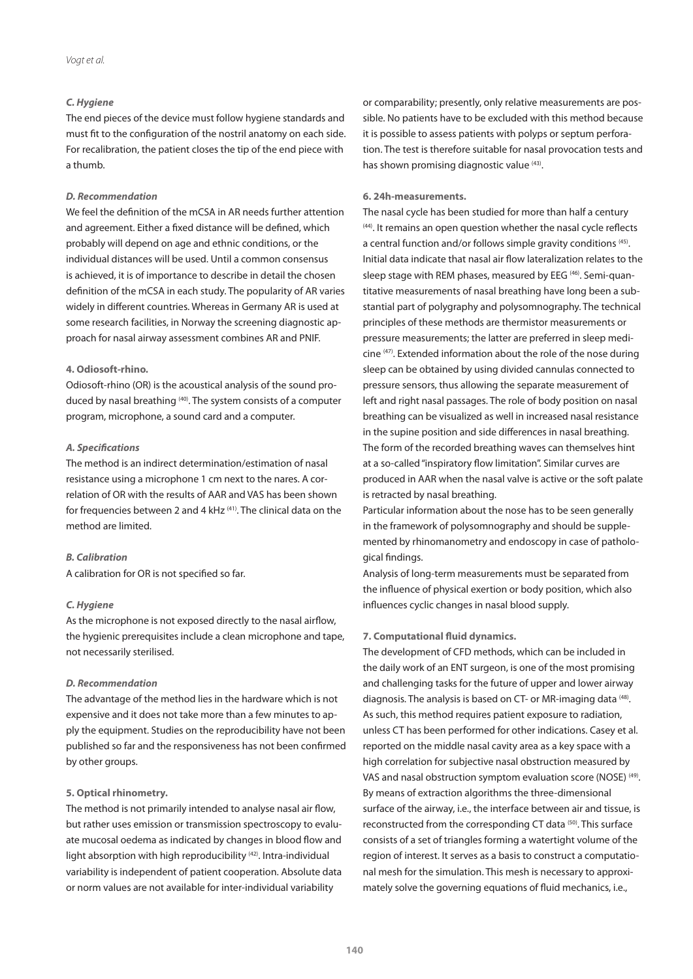#### *C. Hygiene*

The end pieces of the device must follow hygiene standards and must fit to the configuration of the nostril anatomy on each side. For recalibration, the patient closes the tip of the end piece with a thumb.

## *D. Recommendation*

We feel the definition of the mCSA in AR needs further attention and agreement. Either a fixed distance will be defined, which probably will depend on age and ethnic conditions, or the individual distances will be used. Until a common consensus is achieved, it is of importance to describe in detail the chosen definition of the mCSA in each study. The popularity of AR varies widely in different countries. Whereas in Germany AR is used at some research facilities, in Norway the screening diagnostic approach for nasal airway assessment combines AR and PNIF.

## **4. Odiosoft-rhino.**

Odiosoft-rhino (OR) is the acoustical analysis of the sound produced by nasal breathing (40). The system consists of a computer program, microphone, a sound card and a computer.

## *A. Specifications*

The method is an indirect determination/estimation of nasal resistance using a microphone 1 cm next to the nares. A correlation of OR with the results of AAR and VAS has been shown for frequencies between 2 and 4 kHz (41). The clinical data on the method are limited.

#### *B. Calibration*

A calibration for OR is not specified so far.

## *C. Hygiene*

As the microphone is not exposed directly to the nasal airflow, the hygienic prerequisites include a clean microphone and tape, not necessarily sterilised.

## *D. Recommendation*

The advantage of the method lies in the hardware which is not expensive and it does not take more than a few minutes to apply the equipment. Studies on the reproducibility have not been published so far and the responsiveness has not been confirmed by other groups.

## **5. Optical rhinometry.**

The method is not primarily intended to analyse nasal air flow, but rather uses emission or transmission spectroscopy to evaluate mucosal oedema as indicated by changes in blood flow and light absorption with high reproducibility (42). Intra-individual variability is independent of patient cooperation. Absolute data or norm values are not available for inter-individual variability

or comparability; presently, only relative measurements are possible. No patients have to be excluded with this method because it is possible to assess patients with polyps or septum perforation. The test is therefore suitable for nasal provocation tests and has shown promising diagnostic value (43).

## **6. 24h-measurements.**

The nasal cycle has been studied for more than half a century (44). It remains an open question whether the nasal cycle reflects a central function and/or follows simple gravity conditions (45). Initial data indicate that nasal air flow lateralization relates to the sleep stage with REM phases, measured by EEG<sup>(46)</sup>. Semi-quantitative measurements of nasal breathing have long been a substantial part of polygraphy and polysomnography. The technical principles of these methods are thermistor measurements or pressure measurements; the latter are preferred in sleep medicine (47). Extended information about the role of the nose during sleep can be obtained by using divided cannulas connected to pressure sensors, thus allowing the separate measurement of left and right nasal passages. The role of body position on nasal breathing can be visualized as well in increased nasal resistance in the supine position and side differences in nasal breathing. The form of the recorded breathing waves can themselves hint at a so-called "inspiratory flow limitation". Similar curves are produced in AAR when the nasal valve is active or the soft palate is retracted by nasal breathing.

Particular information about the nose has to be seen generally in the framework of polysomnography and should be supplemented by rhinomanometry and endoscopy in case of pathological findings.

Analysis of long-term measurements must be separated from the influence of physical exertion or body position, which also influences cyclic changes in nasal blood supply.

## **7. Computational fluid dynamics.**

The development of CFD methods, which can be included in the daily work of an ENT surgeon, is one of the most promising and challenging tasks for the future of upper and lower airway diagnosis. The analysis is based on CT- or MR-imaging data (48). As such, this method requires patient exposure to radiation, unless CT has been performed for other indications. Casey et al. reported on the middle nasal cavity area as a key space with a high correlation for subjective nasal obstruction measured by VAS and nasal obstruction symptom evaluation score (NOSE)<sup>(49)</sup>. By means of extraction algorithms the three-dimensional surface of the airway, i.e., the interface between air and tissue, is reconstructed from the corresponding CT data (50). This surface consists of a set of triangles forming a watertight volume of the region of interest. It serves as a basis to construct a computational mesh for the simulation. This mesh is necessary to approximately solve the governing equations of fluid mechanics, i.e.,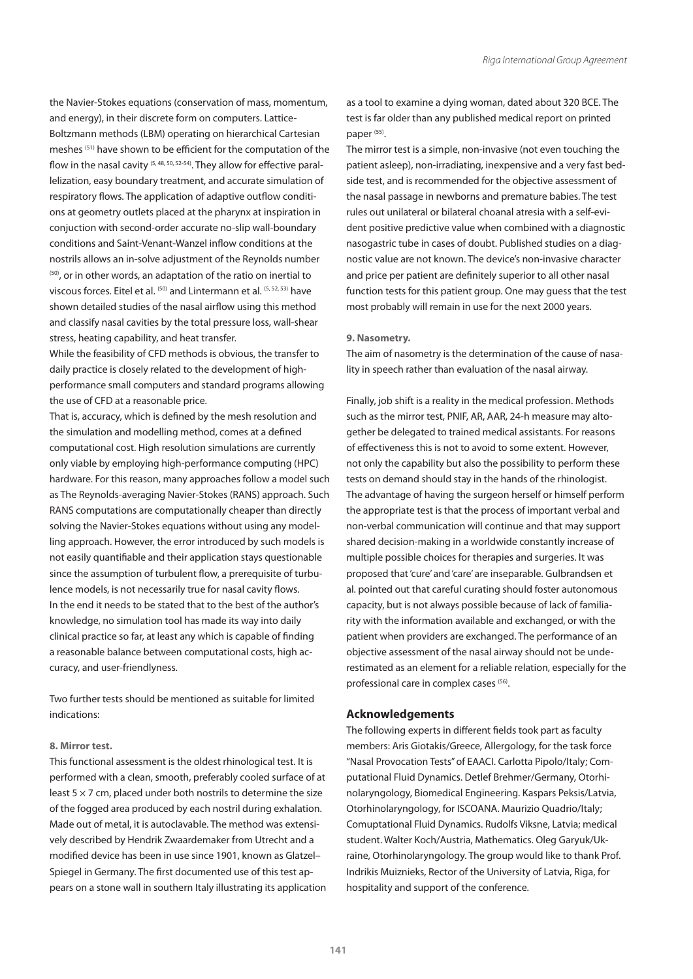the Navier-Stokes equations (conservation of mass, momentum, and energy), in their discrete form on computers. Lattice-Boltzmann methods (LBM) operating on hierarchical Cartesian meshes (51) have shown to be efficient for the computation of the flow in the nasal cavity <sup>(5, 48, 50, 52-54)</sup>. They allow for effective parallelization, easy boundary treatment, and accurate simulation of respiratory flows. The application of adaptive outflow conditions at geometry outlets placed at the pharynx at inspiration in conjuction with second-order accurate no-slip wall-boundary conditions and Saint-Venant-Wanzel inflow conditions at the nostrils allows an in-solve adjustment of the Reynolds number  $(50)$ , or in other words, an adaptation of the ratio on inertial to viscous forces. Eitel et al. (50) and Lintermann et al. (5, 52, 53) have shown detailed studies of the nasal airflow using this method and classify nasal cavities by the total pressure loss, wall-shear stress, heating capability, and heat transfer.

While the feasibility of CFD methods is obvious, the transfer to daily practice is closely related to the development of highperformance small computers and standard programs allowing the use of CFD at a reasonable price.

That is, accuracy, which is defined by the mesh resolution and the simulation and modelling method, comes at a defined computational cost. High resolution simulations are currently only viable by employing high-performance computing (HPC) hardware. For this reason, many approaches follow a model such as The Reynolds-averaging Navier-Stokes (RANS) approach. Such RANS computations are computationally cheaper than directly solving the Navier-Stokes equations without using any modelling approach. However, the error introduced by such models is not easily quantifiable and their application stays questionable since the assumption of turbulent flow, a prerequisite of turbulence models, is not necessarily true for nasal cavity flows. In the end it needs to be stated that to the best of the author's knowledge, no simulation tool has made its way into daily clinical practice so far, at least any which is capable of finding a reasonable balance between computational costs, high accuracy, and user-friendlyness.

Two further tests should be mentioned as suitable for limited indications:

## **8. Mirror test.**

This functional assessment is the oldest rhinological test. It is performed with a clean, smooth, preferably cooled surface of at least 5  $\times$  7 cm, placed under both nostrils to determine the size of the fogged area produced by each nostril during exhalation. Made out of metal, it is autoclavable. The method was extensively described by Hendrik Zwaardemaker from Utrecht and a modified device has been in use since 1901, known as Glatzel– Spiegel in Germany. The first documented use of this test appears on a stone wall in southern Italy illustrating its application as a tool to examine a dying woman, dated about 320 BCE. The test is far older than any published medical report on printed paper (55).

The mirror test is a simple, non-invasive (not even touching the patient asleep), non-irradiating, inexpensive and a very fast bedside test, and is recommended for the objective assessment of the nasal passage in newborns and premature babies. The test rules out unilateral or bilateral choanal atresia with a self-evident positive predictive value when combined with a diagnostic nasogastric tube in cases of doubt. Published studies on a diagnostic value are not known. The device's non-invasive character and price per patient are definitely superior to all other nasal function tests for this patient group. One may guess that the test most probably will remain in use for the next 2000 years.

#### **9. Nasometry.**

The aim of nasometry is the determination of the cause of nasality in speech rather than evaluation of the nasal airway.

Finally, job shift is a reality in the medical profession. Methods such as the mirror test, PNIF, AR, AAR, 24-h measure may altogether be delegated to trained medical assistants. For reasons of effectiveness this is not to avoid to some extent. However, not only the capability but also the possibility to perform these tests on demand should stay in the hands of the rhinologist. The advantage of having the surgeon herself or himself perform the appropriate test is that the process of important verbal and non-verbal communication will continue and that may support shared decision-making in a worldwide constantly increase of multiple possible choices for therapies and surgeries. It was proposed that 'cure' and 'care' are inseparable. Gulbrandsen et al. pointed out that careful curating should foster autonomous capacity, but is not always possible because of lack of familiarity with the information available and exchanged, or with the patient when providers are exchanged. The performance of an objective assessment of the nasal airway should not be underestimated as an element for a reliable relation, especially for the professional care in complex cases (56).

#### **Acknowledgements**

The following experts in different fields took part as faculty members: Aris Giotakis/Greece, Allergology, for the task force "Nasal Provocation Tests" of EAACI. Carlotta Pipolo/Italy; Computational Fluid Dynamics. Detlef Brehmer/Germany, Otorhinolaryngology, Biomedical Engineering. Kaspars Peksis/Latvia, Otorhinolaryngology, for ISCOANA. Maurizio Quadrio/Italy; Comuptational Fluid Dynamics. Rudolfs Viksne, Latvia; medical student. Walter Koch/Austria, Mathematics. Oleg Garyuk/Ukraine, Otorhinolaryngology. The group would like to thank Prof. Indrikis Muiznieks, Rector of the University of Latvia, Riga, for hospitality and support of the conference.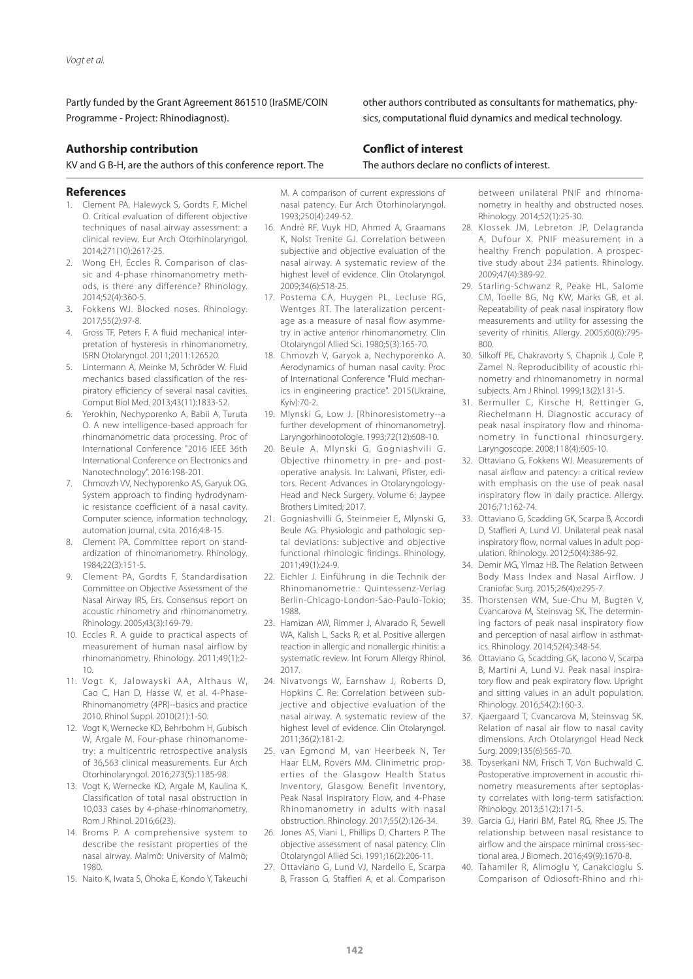Partly funded by the Grant Agreement 861510 (IraSME/COIN Programme - Project: Rhinodiagnost).

# **Authorship contribution**

KV and G B-H, are the authors of this conference report. The

## **References**

- 1. Clement PA, Halewyck S, Gordts F, Michel O. Critical evaluation of different objective techniques of nasal airway assessment: a clinical review. Eur Arch Otorhinolaryngol. 2014;271(10):2617-25.
- 2. Wong EH, Eccles R. Comparison of classic and 4-phase rhinomanometry methods, is there any difference? Rhinology. 2014;52(4):360-5.
- 3. Fokkens WJ. Blocked noses. Rhinology. 2017;55(2):97-8.
- 4. Gross TF, Peters F. A fluid mechanical interpretation of hysteresis in rhinomanometry. ISRN Otolaryngol. 2011;2011:126520.
- 5. Lintermann A, Meinke M, Schröder W. Fluid mechanics based classification of the respiratory efficiency of several nasal cavities. Comput Biol Med. 2013;43(11):1833-52.
- 6. Yerokhin, Nechyporenko A, Babii A, Turuta O. A new intelligence-based approach for rhinomanometric data processing. Proc of International Conference "2016 IEEE 36th International Conference on Electronics and Nanotechnology". 2016:198-201.
- 7. Chmovzh VV, Nechyporenko AS, Garyuk OG. System approach to finding hydrodynamic resistance coefficient of a nasal cavity. Computer science, information technology, automation journal, csita. 2016;4:8-15.
- 8. Clement PA. Committee report on standardization of rhinomanometry. Rhinology. 1984;22(3):151-5.
- 9. Clement PA, Gordts F, Standardisation Committee on Objective Assessment of the Nasal Airway IRS, Ers. Consensus report on acoustic rhinometry and rhinomanometry. Rhinology. 2005;43(3):169-79.
- 10. Eccles R. A guide to practical aspects of measurement of human nasal airflow by rhinomanometry. Rhinology. 2011;49(1):2- 10.
- 11. Vogt K, Jalowayski AA, Althaus W, Cao C, Han D, Hasse W, et al. 4-Phase-Rhinomanometry (4PR)--basics and practice 2010. Rhinol Suppl. 2010(21):1-50.
- 12. Vogt K, Wernecke KD, Behrbohm H, Gubisch W, Argale M. Four-phase rhinomanometry: a multicentric retrospective analysis of 36,563 clinical measurements. Eur Arch Otorhinolaryngol. 2016;273(5):1185-98.
- 13. Vogt K, Wernecke KD, Argale M, Kaulina K. Classification of total nasal obstruction in 10,033 cases by 4-phase-rhinomanometry. Rom J Rhinol. 2016;6(23).
- 14. Broms P. A comprehensive system to describe the resistant properties of the nasal airway. Malmö: University of Malmö; 1980.
- 15. Naito K, Iwata S, Ohoka E, Kondo Y, Takeuchi

M. A comparison of current expressions of nasal patency. Eur Arch Otorhinolaryngol. 1993;250(4):249-52.

- 16. André RF, Vuyk HD, Ahmed A, Graamans K, Nolst Trenite GJ. Correlation between subjective and objective evaluation of the nasal airway. A systematic review of the highest level of evidence. Clin Otolaryngol. 2009;34(6):518-25.
- 17. Postema CA, Huygen PL, Lecluse RG, Wentges RT. The lateralization percentage as a measure of nasal flow asymmetry in active anterior rhinomanometry. Clin Otolaryngol Allied Sci. 1980;5(3):165-70.
- 18. Chmovzh V, Garyok a, Nechyporenko A. Aerodynamics of human nasal cavity. Proc of International Conference "Fluid mechanics in engineering practice". 2015(Ukraine, Kyiv):70-2.
- 19. Mlynski G, Low J. [Rhinoresistometry--a further development of rhinomanometry]. Laryngorhinootologie. 1993;72(12):608-10.
- 20. Beule A, Mlynski G, Gogniashvili G. Objective rhinometry in pre- and postoperative analysis. In: Lalwani, Pfister, editors. Recent Advances in Otolaryngology-Head and Neck Surgery. Volume 6: Jaypee Brothers Limited; 2017.
- 21. Gogniashvilli G, Steinmeier E, Mlynski G, Beule AG. Physiologic and pathologic septal deviations: subjective and objective functional rhinologic findings. Rhinology. 2011;49(1):24-9.
- 22. Eichler J. Einführung in die Technik der Rhinomanometrie.: Quintessenz-Verlag Berlin-Chicago-London-Sao-Paulo-Tokio; 1988.
- 23. Hamizan AW, Rimmer J, Alvarado R, Sewell WA, Kalish L, Sacks R, et al. Positive allergen reaction in allergic and nonallergic rhinitis: a systematic review. Int Forum Allergy Rhinol. 2017.
- 24. Nivatvongs W, Earnshaw J, Roberts D, Hopkins C. Re: Correlation between subjective and objective evaluation of the nasal airway. A systematic review of the highest level of evidence. Clin Otolaryngol. 2011;36(2):181-2.
- 25. van Egmond M, van Heerbeek N, Ter Haar ELM, Rovers MM. Clinimetric properties of the Glasgow Health Status Inventory, Glasgow Benefit Inventory, Peak Nasal Inspiratory Flow, and 4-Phase Rhinomanometry in adults with nasal obstruction. Rhinology. 2017;55(2):126-34.
- 26. Jones AS, Viani L, Phillips D, Charters P. The objective assessment of nasal patency. Clin Otolaryngol Allied Sci. 1991;16(2):206-11.
- 27. Ottaviano G, Lund VJ, Nardello E, Scarpa B, Frasson G, Staffieri A, et al. Comparison

other authors contributed as consultants for mathematics, physics, computational fluid dynamics and medical technology.

# **Conflict of interest**

The authors declare no conflicts of interest.

between unilateral PNIF and rhinomanometry in healthy and obstructed noses. Rhinology. 2014;52(1):25-30.

- 28. Klossek JM, Lebreton JP, Delagranda A, Dufour X. PNIF measurement in a healthy French population. A prospective study about 234 patients. Rhinology. 2009;47(4):389-92.
- 29. Starling-Schwanz R, Peake HL, Salome CM, Toelle BG, Ng KW, Marks GB, et al. Repeatability of peak nasal inspiratory flow measurements and utility for assessing the severity of rhinitis. Allergy. 2005;60(6):795- 800.
- 30. Silkoff PE, Chakravorty S, Chapnik J, Cole P, Zamel N. Reproducibility of acoustic rhinometry and rhinomanometry in normal subjects. Am J Rhinol. 1999;13(2):131-5.
- 31. Bermuller C, Kirsche H, Rettinger G, Riechelmann H. Diagnostic accuracy of peak nasal inspiratory flow and rhinomanometry in functional rhinosurgery. Laryngoscope. 2008;118(4):605-10.
- 32. Ottaviano G, Fokkens WJ. Measurements of nasal airflow and patency: a critical review with emphasis on the use of peak nasal inspiratory flow in daily practice. Allergy. 2016;71:162-74.
- 33. Ottaviano G, Scadding GK, Scarpa B, Accordi D, Staffieri A, Lund VJ. Unilateral peak nasal inspiratory flow, normal values in adult population. Rhinology. 2012;50(4):386-92.
- 34. Demir MG, Ylmaz HB. The Relation Between Body Mass Index and Nasal Airflow. J Craniofac Surg. 2015;26(4):e295-7.
- 35. Thorstensen WM, Sue-Chu M, Bugten V, Cvancarova M, Steinsvag SK. The determining factors of peak nasal inspiratory flow and perception of nasal airflow in asthmatics. Rhinology. 2014;52(4):348-54.
- 36. Ottaviano G, Scadding GK, Iacono V, Scarpa B, Martini A, Lund VJ. Peak nasal inspiratory flow and peak expiratory flow. Upright and sitting values in an adult population. Rhinology. 2016;54(2):160-3.
- 37. Kjaergaard T, Cvancarova M, Steinsvag SK. Relation of nasal air flow to nasal cavity dimensions. Arch Otolaryngol Head Neck Surg. 2009;135(6):565-70.
- 38. Toyserkani NM, Frisch T, Von Buchwald C. Postoperative improvement in acoustic rhinometry measurements after septoplasty correlates with long-term satisfaction. Rhinology. 2013;51(2):171-5.
- 39. Garcia GJ, Hariri BM, Patel RG, Rhee JS. The relationship between nasal resistance to airflow and the airspace minimal cross-sectional area. J Biomech. 2016;49(9):1670-8.
- 40. Tahamiler R, Alimoglu Y, Canakcioglu S. Comparison of Odiosoft-Rhino and rhi-